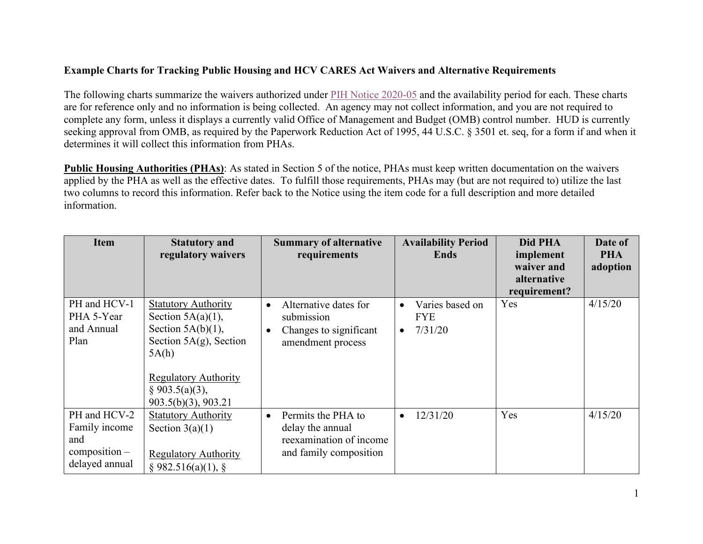## **Example Charts for Tracking Public Housing and HCV CARES Act Waivers and Alternative Requirements**

The following charts summarize the waivers authorized under [PIH Notice 2020-05](https://www.hud.gov/sites/dfiles/PIH/documents/PIH2020-05.pdf) and the availability period for each. These charts are for reference only and no information is being collected. An agency may not collect information, and you are not required to complete any form, unless it displays a currently valid Office of Management and Budget (OMB) control number. HUD is currently seeking approval from OMB, as required by the Paperwork Reduction Act of 1995, 44 U.S.C. § 3501 et. seq, for a form if and when it determines it will collect this information from PHAs.

**Public Housing Authorities (PHAs)**: As stated in Section 5 of the notice, PHAs must keep written documentation on the waivers applied by the PHA as well as the effective dates. To fulfill those requirements, PHAs may (but are not required to) utilize the last two columns to record this information. Refer back to the Notice using the item code for a full description and more detailed information.

| <b>Item</b>                                                               | <b>Statutory and</b><br>regulatory waivers                                                                                                                                                    | <b>Summary of alternative</b><br>requirements                                                                | <b>Availability Period</b><br>Ends                                 | Did PHA<br>implement<br>waiver and<br>alternative<br>requirement? | Date of<br><b>PHA</b><br>adoption |
|---------------------------------------------------------------------------|-----------------------------------------------------------------------------------------------------------------------------------------------------------------------------------------------|--------------------------------------------------------------------------------------------------------------|--------------------------------------------------------------------|-------------------------------------------------------------------|-----------------------------------|
| PH and HCV-1<br>PHA 5-Year<br>and Annual<br>Plan                          | <b>Statutory Authority</b><br>Section $5A(a)(1)$ ,<br>Section $5A(b)(1)$ ,<br>Section $5A(g)$ , Section<br>5A(h)<br><b>Regulatory Authority</b><br>§ 903.5(a)(3),<br>$903.5(b)(3)$ , $903.21$ | Alternative dates for<br>$\bullet$<br>submission<br>Changes to significant<br>$\bullet$<br>amendment process | Varies based on<br>$\bullet$<br><b>FYE</b><br>7/31/20<br>$\bullet$ | Yes                                                               | 4/15/20                           |
| PH and HCV-2<br>Family income<br>and<br>$composition -$<br>delayed annual | <b>Statutory Authority</b><br>Section $3(a)(1)$<br><b>Regulatory Authority</b><br>$§$ 982.516(a)(1), §                                                                                        | Permits the PHA to<br>$\bullet$<br>delay the annual<br>reexamination of income<br>and family composition     | 12/31/20<br>$\bullet$                                              | Yes                                                               | 4/15/20                           |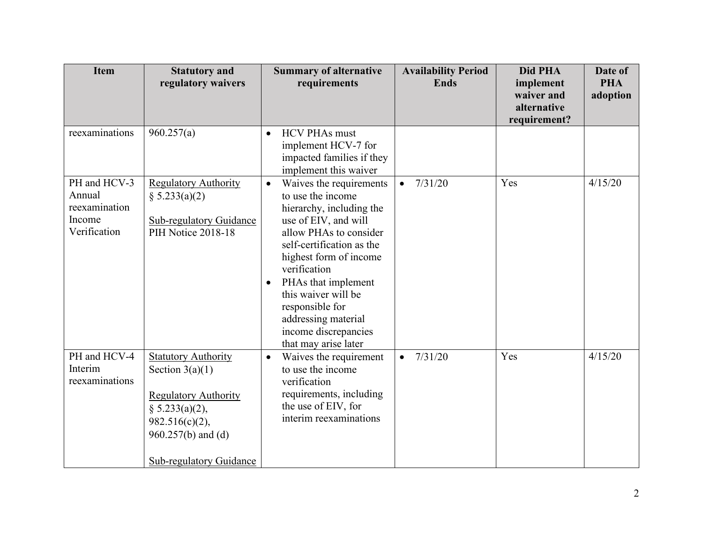| <b>Item</b>                                                       | <b>Statutory and</b><br>regulatory waivers                                                                                                                                      | <b>Summary of alternative</b><br>requirements                                                                                                                                                                                                                                                                                                                       | <b>Availability Period</b><br><b>Ends</b> | Did PHA<br>implement                      | Date of<br><b>PHA</b> |
|-------------------------------------------------------------------|---------------------------------------------------------------------------------------------------------------------------------------------------------------------------------|---------------------------------------------------------------------------------------------------------------------------------------------------------------------------------------------------------------------------------------------------------------------------------------------------------------------------------------------------------------------|-------------------------------------------|-------------------------------------------|-----------------------|
|                                                                   |                                                                                                                                                                                 |                                                                                                                                                                                                                                                                                                                                                                     |                                           | waiver and<br>alternative<br>requirement? | adoption              |
| reexaminations                                                    | 960.257(a)                                                                                                                                                                      | <b>HCV PHAs must</b><br>$\bullet$<br>implement HCV-7 for<br>impacted families if they<br>implement this waiver                                                                                                                                                                                                                                                      |                                           |                                           |                       |
| PH and HCV-3<br>Annual<br>reexamination<br>Income<br>Verification | <b>Regulatory Authority</b><br>§ 5.233(a)(2)<br><b>Sub-regulatory Guidance</b><br>PIH Notice 2018-18                                                                            | Waives the requirements<br>$\bullet$<br>to use the income<br>hierarchy, including the<br>use of EIV, and will<br>allow PHAs to consider<br>self-certification as the<br>highest form of income<br>verification<br>PHAs that implement<br>$\bullet$<br>this waiver will be<br>responsible for<br>addressing material<br>income discrepancies<br>that may arise later | 7/31/20<br>$\bullet$                      | Yes                                       | 4/15/20               |
| PH and HCV-4<br>Interim<br>reexaminations                         | <b>Statutory Authority</b><br>Section $3(a)(1)$<br><b>Regulatory Authority</b><br>§ 5.233(a)(2),<br>$982.516(c)(2)$ ,<br>$960.257(b)$ and (d)<br><b>Sub-regulatory Guidance</b> | Waives the requirement<br>$\bullet$<br>to use the income<br>verification<br>requirements, including<br>the use of EIV, for<br>interim reexaminations                                                                                                                                                                                                                | 7/31/20<br>$\bullet$                      | Yes                                       | 4/15/20               |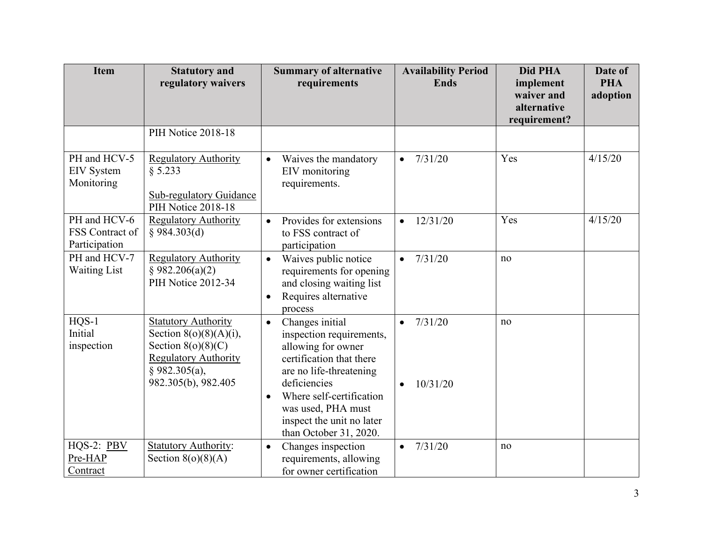| <b>Item</b>                                      | <b>Statutory and</b><br>regulatory waivers                                                                                                               | <b>Summary of alternative</b><br>requirements                                                                                                                                                                                                                               | <b>Availability Period</b><br><b>Ends</b> | Did PHA<br>implement<br>waiver and | Date of<br><b>PHA</b><br>adoption |
|--------------------------------------------------|----------------------------------------------------------------------------------------------------------------------------------------------------------|-----------------------------------------------------------------------------------------------------------------------------------------------------------------------------------------------------------------------------------------------------------------------------|-------------------------------------------|------------------------------------|-----------------------------------|
|                                                  |                                                                                                                                                          |                                                                                                                                                                                                                                                                             |                                           | alternative<br>requirement?        |                                   |
|                                                  | PIH Notice 2018-18                                                                                                                                       |                                                                                                                                                                                                                                                                             |                                           |                                    |                                   |
| PH and HCV-5<br><b>EIV</b> System<br>Monitoring  | <b>Regulatory Authority</b><br>§ 5.233<br>Sub-regulatory Guidance<br>PIH Notice 2018-18                                                                  | Waives the mandatory<br>$\bullet$<br>EIV monitoring<br>requirements.                                                                                                                                                                                                        | 7/31/20<br>$\bullet$                      | Yes                                | 4/15/20                           |
| PH and HCV-6<br>FSS Contract of<br>Participation | <b>Regulatory Authority</b><br>$§$ 984.303(d)                                                                                                            | Provides for extensions<br>$\bullet$<br>to FSS contract of<br>participation                                                                                                                                                                                                 | 12/31/20<br>$\bullet$                     | Yes                                | 4/15/20                           |
| PH and HCV-7<br><b>Waiting List</b>              | <b>Regulatory Authority</b><br>§ 982.206(a)(2)<br>PIH Notice 2012-34                                                                                     | Waives public notice<br>$\bullet$<br>requirements for opening<br>and closing waiting list<br>Requires alternative<br>$\bullet$<br>process                                                                                                                                   | 7/31/20<br>$\bullet$                      | no                                 |                                   |
| $HQS-1$<br>Initial<br>inspection                 | <b>Statutory Authority</b><br>Section $8(o)(8)(A)(i)$ ,<br>Section $8(o)(8)(C)$<br><b>Regulatory Authority</b><br>$§$ 982.305(a),<br>982.305(b), 982.405 | Changes initial<br>$\bullet$<br>inspection requirements,<br>allowing for owner<br>certification that there<br>are no life-threatening<br>deficiencies<br>Where self-certification<br>$\bullet$<br>was used, PHA must<br>inspect the unit no later<br>than October 31, 2020. | 7/31/20<br>$\bullet$<br>10/31/20          | no                                 |                                   |
| HQS-2: PBV<br>Pre-HAP<br>Contract                | <b>Statutory Authority:</b><br>Section $8(o)(8)(A)$                                                                                                      | Changes inspection<br>$\bullet$<br>requirements, allowing<br>for owner certification                                                                                                                                                                                        | 7/31/20<br>$\bullet$                      | no                                 |                                   |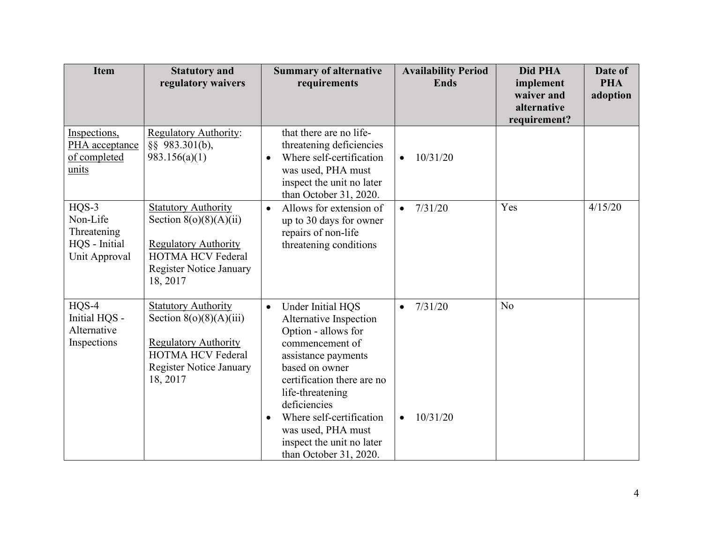| <b>Item</b>                                                        | <b>Statutory and</b><br>regulatory waivers                                                                                                                       | <b>Summary of alternative</b><br>requirements                                                                                                                                                                                                                                                                                       | <b>Availability Period</b><br><b>Ends</b>     | Did PHA<br>implement<br>waiver and<br>alternative | Date of<br><b>PHA</b><br>adoption |
|--------------------------------------------------------------------|------------------------------------------------------------------------------------------------------------------------------------------------------------------|-------------------------------------------------------------------------------------------------------------------------------------------------------------------------------------------------------------------------------------------------------------------------------------------------------------------------------------|-----------------------------------------------|---------------------------------------------------|-----------------------------------|
|                                                                    |                                                                                                                                                                  |                                                                                                                                                                                                                                                                                                                                     |                                               | requirement?                                      |                                   |
| Inspections,<br>PHA acceptance<br>of completed<br>units            | Regulatory Authority:<br>§§ 983.301(b),<br>983.156(a)(1)                                                                                                         | that there are no life-<br>threatening deficiencies<br>Where self-certification<br>$\bullet$<br>was used, PHA must<br>inspect the unit no later<br>than October 31, 2020.                                                                                                                                                           | 10/31/20                                      |                                                   |                                   |
| HQS-3<br>Non-Life<br>Threatening<br>HQS - Initial<br>Unit Approval | <b>Statutory Authority</b><br>Section $8(o)(8)(A)(ii)$<br><b>Regulatory Authority</b><br><b>HOTMA HCV Federal</b><br><b>Register Notice January</b><br>18, 2017  | Allows for extension of<br>$\bullet$<br>up to 30 days for owner<br>repairs of non-life<br>threatening conditions                                                                                                                                                                                                                    | 7/31/20<br>$\bullet$                          | Yes                                               | 4/15/20                           |
| $HQS-4$<br>Initial HQS -<br>Alternative<br>Inspections             | <b>Statutory Authority</b><br>Section $8(o)(8)(A)(iii)$<br><b>Regulatory Authority</b><br><b>HOTMA HCV Federal</b><br><b>Register Notice January</b><br>18, 2017 | Under Initial HQS<br>$\bullet$<br>Alternative Inspection<br>Option - allows for<br>commencement of<br>assistance payments<br>based on owner<br>certification there are no<br>life-threatening<br>deficiencies<br>Where self-certification<br>$\bullet$<br>was used, PHA must<br>inspect the unit no later<br>than October 31, 2020. | 7/31/20<br>$\bullet$<br>10/31/20<br>$\bullet$ | No                                                |                                   |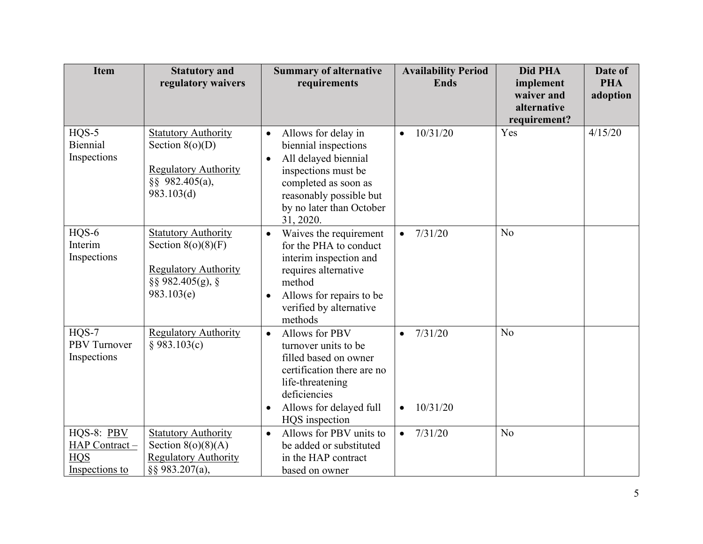| <b>Item</b>                                   | <b>Statutory and</b>                                                  | <b>Summary of alternative</b>                                    | <b>Availability Period</b> | Did PHA        | Date of    |
|-----------------------------------------------|-----------------------------------------------------------------------|------------------------------------------------------------------|----------------------------|----------------|------------|
|                                               | regulatory waivers                                                    | requirements                                                     | <b>Ends</b>                | implement      | <b>PHA</b> |
|                                               |                                                                       |                                                                  |                            | waiver and     | adoption   |
|                                               |                                                                       |                                                                  |                            | alternative    |            |
|                                               |                                                                       |                                                                  |                            | requirement?   |            |
| $HQS-5$                                       | <b>Statutory Authority</b>                                            | Allows for delay in<br>$\bullet$                                 | 10/31/20                   | Yes            | 4/15/20    |
| Biennial                                      | Section $8(o)(D)$                                                     | biennial inspections                                             |                            |                |            |
| Inspections                                   | <b>Regulatory Authority</b>                                           | All delayed biennial<br>$\bullet$                                |                            |                |            |
|                                               | §§ 982.405(a),                                                        | inspections must be<br>completed as soon as                      |                            |                |            |
|                                               | 983.103(d)                                                            | reasonably possible but                                          |                            |                |            |
|                                               |                                                                       | by no later than October                                         |                            |                |            |
|                                               |                                                                       | 31, 2020.                                                        |                            |                |            |
| HQS-6                                         | <b>Statutory Authority</b>                                            | Waives the requirement<br>$\bullet$                              | 7/31/20<br>$\bullet$       | N <sub>o</sub> |            |
| Interim                                       | Section $8(o)(8)(F)$                                                  | for the PHA to conduct                                           |                            |                |            |
| Inspections                                   |                                                                       | interim inspection and                                           |                            |                |            |
|                                               | <b>Regulatory Authority</b>                                           | requires alternative                                             |                            |                |            |
|                                               | §§ 982.405(g), §<br>983.103(e)                                        | method                                                           |                            |                |            |
|                                               |                                                                       | Allows for repairs to be<br>$\bullet$<br>verified by alternative |                            |                |            |
|                                               |                                                                       | methods                                                          |                            |                |            |
| $HQS-7$                                       | <b>Regulatory Authority</b>                                           | Allows for PBV<br>$\bullet$                                      | 7/31/20                    | No             |            |
| PBV Turnover                                  | § 983.103(c)                                                          | turnover units to be                                             |                            |                |            |
| Inspections                                   |                                                                       | filled based on owner                                            |                            |                |            |
|                                               |                                                                       | certification there are no                                       |                            |                |            |
|                                               |                                                                       | life-threatening                                                 |                            |                |            |
|                                               |                                                                       | deficiencies                                                     |                            |                |            |
|                                               |                                                                       | Allows for delayed full<br>$\bullet$                             | 10/31/20<br>$\bullet$      |                |            |
|                                               |                                                                       | HQS inspection                                                   |                            |                |            |
| HQS-8: PBV                                    | <b>Statutory Authority</b>                                            | Allows for PBV units to<br>$\bullet$                             | 7/31/20<br>$\bullet$       | N <sub>o</sub> |            |
|                                               |                                                                       |                                                                  |                            |                |            |
|                                               |                                                                       |                                                                  |                            |                |            |
| HAP Contract-<br><b>HQS</b><br>Inspections to | Section $8(o)(8)(A)$<br><b>Regulatory Authority</b><br>§§ 983.207(a), | be added or substituted<br>in the HAP contract<br>based on owner |                            |                |            |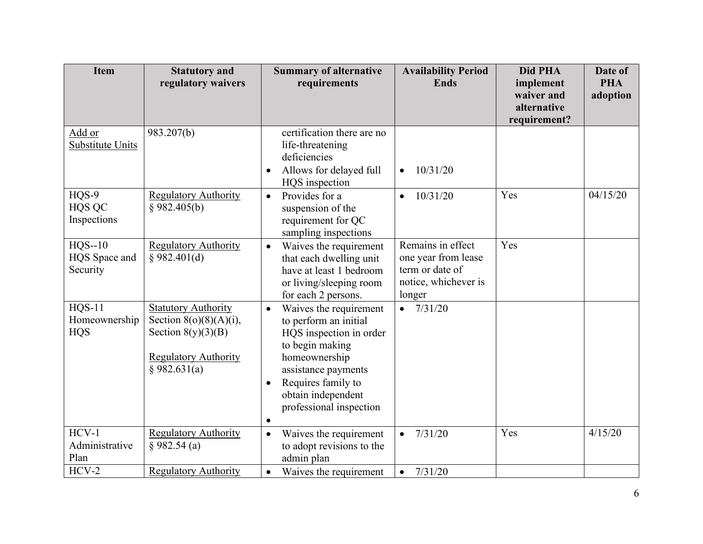| <b>Item</b>                             | <b>Statutory and</b><br>regulatory waivers                                                                                     | <b>Summary of alternative</b><br>requirements                                                                                                                                                                                                       | <b>Availability Period</b><br><b>Ends</b>                                                     | Did PHA<br>implement<br>waiver and<br>alternative | Date of<br><b>PHA</b><br>adoption |
|-----------------------------------------|--------------------------------------------------------------------------------------------------------------------------------|-----------------------------------------------------------------------------------------------------------------------------------------------------------------------------------------------------------------------------------------------------|-----------------------------------------------------------------------------------------------|---------------------------------------------------|-----------------------------------|
|                                         |                                                                                                                                |                                                                                                                                                                                                                                                     |                                                                                               | requirement?                                      |                                   |
| Add or<br><b>Substitute Units</b>       | 983.207(b)                                                                                                                     | certification there are no<br>life-threatening<br>deficiencies<br>Allows for delayed full<br>$\bullet$<br>HQS inspection                                                                                                                            | 10/31/20<br>$\bullet$                                                                         |                                                   |                                   |
| HQS-9<br>HQS QC<br>Inspections          | <b>Regulatory Authority</b><br>§ 982.405(b)                                                                                    | Provides for a<br>$\bullet$<br>suspension of the<br>requirement for QC<br>sampling inspections                                                                                                                                                      | 10/31/20                                                                                      | Yes                                               | 04/15/20                          |
| $HQS-10$<br>HQS Space and<br>Security   | <b>Regulatory Authority</b><br>§ 982.401(d)                                                                                    | Waives the requirement<br>$\bullet$<br>that each dwelling unit<br>have at least 1 bedroom<br>or living/sleeping room<br>for each 2 persons.                                                                                                         | Remains in effect<br>one year from lease<br>term or date of<br>notice, whichever is<br>longer | Yes                                               |                                   |
| $HQS-11$<br>Homeownership<br><b>HQS</b> | <b>Statutory Authority</b><br>Section $8(o)(8)(A)(i)$ ,<br>Section $8(y)(3)(B)$<br><b>Regulatory Authority</b><br>\$982.631(a) | Waives the requirement<br>$\bullet$<br>to perform an initial<br>HQS inspection in order<br>to begin making<br>homeownership<br>assistance payments<br>Requires family to<br>$\bullet$<br>obtain independent<br>professional inspection<br>$\bullet$ | $\bullet$ 7/31/20                                                                             |                                                   |                                   |
| $HCV-1$<br>Administrative<br>Plan       | <b>Regulatory Authority</b><br>§ 982.54 (a)                                                                                    | Waives the requirement<br>$\bullet$<br>to adopt revisions to the<br>admin plan                                                                                                                                                                      | 7/31/20<br>$\bullet$                                                                          | Yes                                               | 4/15/20                           |
| $HCV-2$                                 | <b>Regulatory Authority</b>                                                                                                    | Waives the requirement<br>$\bullet$                                                                                                                                                                                                                 | 7/31/20<br>$\bullet$                                                                          |                                                   |                                   |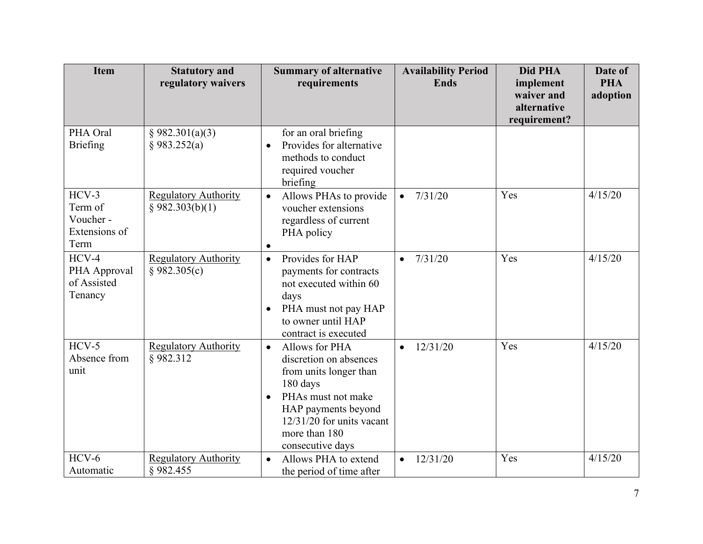| <b>Item</b>                                              | <b>Statutory and</b><br>regulatory waivers     | <b>Summary of alternative</b><br>requirements                                                                                                                                                                             | <b>Availability Period</b><br><b>Ends</b> | Did PHA<br>implement<br>waiver and | Date of<br><b>PHA</b><br>adoption |
|----------------------------------------------------------|------------------------------------------------|---------------------------------------------------------------------------------------------------------------------------------------------------------------------------------------------------------------------------|-------------------------------------------|------------------------------------|-----------------------------------|
|                                                          |                                                |                                                                                                                                                                                                                           |                                           | alternative<br>requirement?        |                                   |
| PHA Oral<br>Briefing                                     | § 982.301(a)(3)<br>§ 983.252(a)                | for an oral briefing<br>Provides for alternative<br>$\bullet$<br>methods to conduct<br>required voucher<br>briefing                                                                                                       |                                           |                                    |                                   |
| $HCV-3$<br>Term of<br>Voucher -<br>Extensions of<br>Term | <b>Regulatory Authority</b><br>§ 982.303(b)(1) | Allows PHAs to provide<br>$\bullet$<br>voucher extensions<br>regardless of current<br>PHA policy<br>$\bullet$                                                                                                             | 7/31/20<br>$\bullet$                      | Yes                                | 4/15/20                           |
| $HCV-4$<br>PHA Approval<br>of Assisted<br>Tenancy        | <b>Regulatory Authority</b><br>§ 982.305(c)    | Provides for HAP<br>$\bullet$<br>payments for contracts<br>not executed within 60<br>days<br>PHA must not pay HAP<br>$\bullet$<br>to owner until HAP<br>contract is executed                                              | 7/31/20<br>$\bullet$                      | Yes                                | 4/15/20                           |
| $HCV-5$<br>Absence from<br>unit                          | <b>Regulatory Authority</b><br>§982.312        | Allows for PHA<br>$\bullet$<br>discretion on absences<br>from units longer than<br>180 days<br>PHAs must not make<br>$\bullet$<br>HAP payments beyond<br>$12/31/20$ for units vacant<br>more than 180<br>consecutive days | 12/31/20                                  | Yes                                | 4/15/20                           |
| $HCV-6$<br>Automatic                                     | <b>Regulatory Authority</b><br>§982.455        | Allows PHA to extend<br>$\bullet$<br>the period of time after                                                                                                                                                             | 12/31/20<br>$\bullet$                     | Yes                                | 4/15/20                           |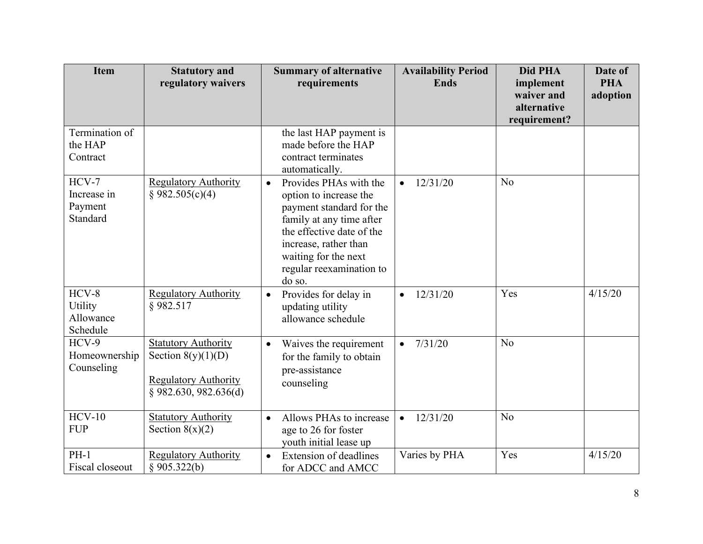| <b>Item</b>                                   | <b>Statutory and</b><br>regulatory waivers                                                                   | <b>Summary of alternative</b><br>requirements                                                                                                                                                                                             | <b>Availability Period</b><br><b>Ends</b> | Did PHA<br>implement<br>waiver and<br>alternative | Date of<br><b>PHA</b><br>adoption |
|-----------------------------------------------|--------------------------------------------------------------------------------------------------------------|-------------------------------------------------------------------------------------------------------------------------------------------------------------------------------------------------------------------------------------------|-------------------------------------------|---------------------------------------------------|-----------------------------------|
| Termination of<br>the HAP<br>Contract         |                                                                                                              | the last HAP payment is<br>made before the HAP<br>contract terminates<br>automatically.                                                                                                                                                   |                                           | requirement?                                      |                                   |
| $HCV-7$<br>Increase in<br>Payment<br>Standard | <b>Regulatory Authority</b><br>§ 982.505(c)(4)                                                               | Provides PHAs with the<br>$\bullet$<br>option to increase the<br>payment standard for the<br>family at any time after<br>the effective date of the<br>increase, rather than<br>waiting for the next<br>regular reexamination to<br>do so. | 12/31/20                                  | N <sub>o</sub>                                    |                                   |
| $HCV-8$<br>Utility<br>Allowance<br>Schedule   | <b>Regulatory Authority</b><br>§982.517                                                                      | Provides for delay in<br>$\bullet$<br>updating utility<br>allowance schedule                                                                                                                                                              | 12/31/20<br>$\bullet$                     | Yes                                               | 4/15/20                           |
| $HCV-9$<br>Homeownership<br>Counseling        | <b>Statutory Authority</b><br>Section $8(y)(1)(D)$<br><b>Regulatory Authority</b><br>$§$ 982.630, 982.636(d) | Waives the requirement<br>$\bullet$<br>for the family to obtain<br>pre-assistance<br>counseling                                                                                                                                           | 7/31/20<br>$\bullet$                      | N <sub>o</sub>                                    |                                   |
| $HCV-10$<br><b>FUP</b>                        | <b>Statutory Authority</b><br>Section $8(x)(2)$                                                              | Allows PHAs to increase<br>$\bullet$<br>age to 26 for foster<br>youth initial lease up                                                                                                                                                    | 12/31/20<br>$\bullet$                     | N <sub>o</sub>                                    |                                   |
| $PH-1$<br>Fiscal closeout                     | <b>Regulatory Authority</b><br>§ 905.322(b)                                                                  | <b>Extension of deadlines</b><br>$\bullet$<br>for ADCC and AMCC                                                                                                                                                                           | Varies by PHA                             | Yes                                               | 4/15/20                           |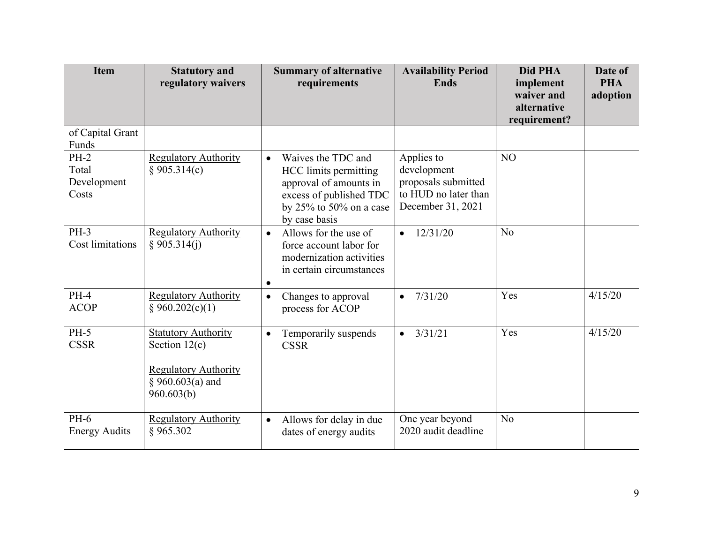| <b>Item</b>                             | <b>Statutory and</b><br>regulatory waivers                                                                       | <b>Summary of alternative</b><br>requirements                                                                                                                   | <b>Availability Period</b><br><b>Ends</b>                                                     | Did PHA<br>implement<br>waiver and<br>alternative<br>requirement? | Date of<br><b>PHA</b><br>adoption |
|-----------------------------------------|------------------------------------------------------------------------------------------------------------------|-----------------------------------------------------------------------------------------------------------------------------------------------------------------|-----------------------------------------------------------------------------------------------|-------------------------------------------------------------------|-----------------------------------|
| of Capital Grant<br>Funds               |                                                                                                                  |                                                                                                                                                                 |                                                                                               |                                                                   |                                   |
| $PH-2$<br>Total<br>Development<br>Costs | <b>Regulatory Authority</b><br>§ 905.314(c)                                                                      | Waives the TDC and<br>$\bullet$<br>HCC limits permitting<br>approval of amounts in<br>excess of published TDC<br>by $25\%$ to $50\%$ on a case<br>by case basis | Applies to<br>development<br>proposals submitted<br>to HUD no later than<br>December 31, 2021 | NO                                                                |                                   |
| $PH-3$<br><b>Cost limitations</b>       | <b>Regulatory Authority</b><br>§ 905.314(j)                                                                      | Allows for the use of<br>$\bullet$<br>force account labor for<br>modernization activities<br>in certain circumstances<br>$\bullet$                              | 12/31/20<br>$\bullet$                                                                         | N <sub>o</sub>                                                    |                                   |
| $PH-4$<br><b>ACOP</b>                   | <b>Regulatory Authority</b><br>§ 960.202(c)(1)                                                                   | Changes to approval<br>$\bullet$<br>process for ACOP                                                                                                            | 7/31/20<br>$\bullet$                                                                          | Yes                                                               | 4/15/20                           |
| $PH-5$<br><b>CSSR</b>                   | <b>Statutory Authority</b><br>Section $12(c)$<br><b>Regulatory Authority</b><br>$§ 960.603(a)$ and<br>960.603(b) | Temporarily suspends<br>$\bullet$<br><b>CSSR</b>                                                                                                                | 3/31/21<br>$\bullet$                                                                          | Yes                                                               | 4/15/20                           |
| $PH-6$<br><b>Energy Audits</b>          | <b>Regulatory Authority</b><br>§ 965.302                                                                         | Allows for delay in due<br>$\bullet$<br>dates of energy audits                                                                                                  | One year beyond<br>2020 audit deadline                                                        | N <sub>o</sub>                                                    |                                   |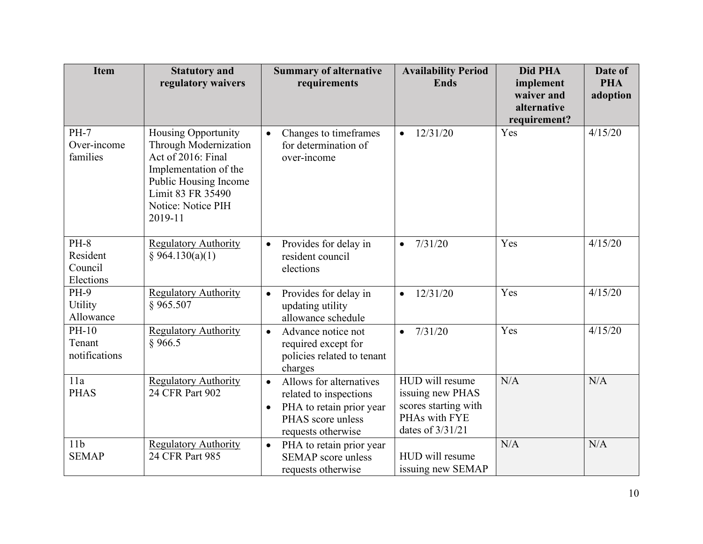| <b>Item</b>                                | <b>Statutory and</b><br>regulatory waivers                                                                                                                                        | <b>Summary of alternative</b><br>requirements                                                                                                      | <b>Availability Period</b><br><b>Ends</b>                                                        | Did PHA<br>implement<br>waiver and<br>alternative<br>requirement? | Date of<br><b>PHA</b><br>adoption |
|--------------------------------------------|-----------------------------------------------------------------------------------------------------------------------------------------------------------------------------------|----------------------------------------------------------------------------------------------------------------------------------------------------|--------------------------------------------------------------------------------------------------|-------------------------------------------------------------------|-----------------------------------|
| <b>PH-7</b><br>Over-income<br>families     | <b>Housing Opportunity</b><br>Through Modernization<br>Act of 2016: Final<br>Implementation of the<br>Public Housing Income<br>Limit 83 FR 35490<br>Notice: Notice PIH<br>2019-11 | Changes to timeframes<br>$\bullet$<br>for determination of<br>over-income                                                                          | $-12/31/20$                                                                                      | Yes                                                               | 4/15/20                           |
| $PH-8$<br>Resident<br>Council<br>Elections | <b>Regulatory Authority</b><br>§ 964.130(a)(1)                                                                                                                                    | Provides for delay in<br>$\bullet$<br>resident council<br>elections                                                                                | 7/31/20<br>$\bullet$                                                                             | Yes                                                               | 4/15/20                           |
| <b>PH-9</b><br><b>Utility</b><br>Allowance | <b>Regulatory Authority</b><br>§965.507                                                                                                                                           | Provides for delay in<br>$\bullet$<br>updating utility<br>allowance schedule                                                                       | 12/31/20<br>$\bullet$                                                                            | Yes                                                               | 4/15/20                           |
| $PH-10$<br>Tenant<br>notifications         | <b>Regulatory Authority</b><br>\$966.5                                                                                                                                            | Advance notice not<br>$\bullet$<br>required except for<br>policies related to tenant<br>charges                                                    | 7/31/20<br>$\bullet$                                                                             | Yes                                                               | 4/15/20                           |
| 11a<br><b>PHAS</b>                         | <b>Regulatory Authority</b><br>24 CFR Part 902                                                                                                                                    | Allows for alternatives<br>$\bullet$<br>related to inspections<br>PHA to retain prior year<br>$\bullet$<br>PHAS score unless<br>requests otherwise | HUD will resume<br>issuing new PHAS<br>scores starting with<br>PHAs with FYE<br>dates of 3/31/21 | N/A                                                               | N/A                               |
| 11 <sub>b</sub><br><b>SEMAP</b>            | <b>Regulatory Authority</b><br>24 CFR Part 985                                                                                                                                    | PHA to retain prior year<br>$\bullet$<br><b>SEMAP</b> score unless<br>requests otherwise                                                           | HUD will resume<br>issuing new SEMAP                                                             | N/A                                                               | N/A                               |